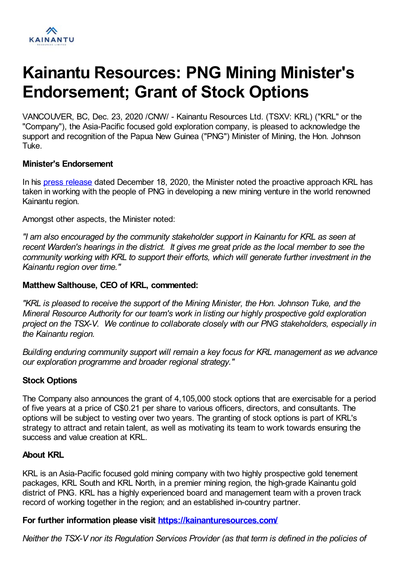

# **Kainantu Resources: PNG Mining Minister's Endorsement; Grant of Stock Options**

VANCOUVER, BC, Dec. 23, 2020 /CNW/ - Kainantu Resources Ltd. (TSXV: KRL) ("KRL" or the "Company"), the Asia-Pacific focused gold exploration company, is pleased to acknowledge the support and recognition of the Papua New Guinea ("PNG") Minister of Mining, the Hon. Johnson Tuke.

#### **Minister's Endorsement**

In his press [release](https://kainanturesources.com/?p=1741) dated December 18, 2020, the Minister noted the proactive approach KRL has taken in working with the people of PNG in developing a new mining venture in the world renowned Kainantu region.

Amongst other aspects, the Minister noted:

*"I am also encouraged by the community stakeholder support in Kainantu for KRL as seen at recent Warden's hearings in the district. It gives me great pride as the local member to see the community working with KRL to support their efforts, which will generate further investment in the Kainantu region over time."*

## **Matthew Salthouse, CEO of KRL, commented:**

*"KRL is pleased to receive the support of the Mining Minister, the Hon. Johnson Tuke, and the Mineral Resource Authority for our team's work in listing our highly prospective gold exploration project on the TSX-V. We continue to collaborate closely with our PNG stakeholders, especially in the Kainantu region.*

*Building enduring community support will remain a key focus for KRL management as we advance our exploration programme and broader regional strategy."*

## **Stock Options**

The Company also announces the grant of 4,105,000 stock options that are exercisable for a period of five years at a price of C\$0.21 per share to various officers, directors, and consultants. The options will be subject to vesting over two years. The granting of stock options is part of KRL's strategy to attract and retain talent, as well as motivating its team to work towards ensuring the success and value creation at KRL.

#### **About KRL**

KRL is an Asia-Pacific focused gold mining company with two highly prospective gold tenement packages, KRL South and KRL North, in a premier mining region, the high-grade Kainantu gold district of PNG. KRL has a highly experienced board and management team with a proven track record of working together in the region; and an established in-country partner.

#### **For further information please visit <https://kainanturesources.com/>**

*Neither the TSX-V nor its Regulation Services Provider (as that term is defined in the policies of*